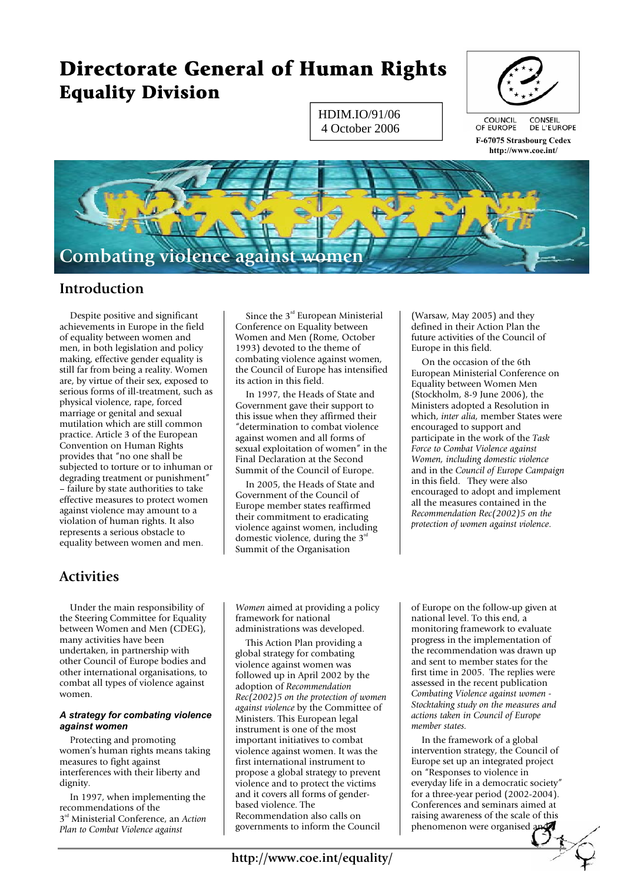# **Directorate General of Human Rights Equality Division**

HDIM.IO/91/06 4 October 2006



**F-67075 Strasbourg Cedex http://www.coe.int/** 



### **Introduction**

 Despite positive and significant achievements in Europe in the field of equality between women and men, in both legislation and policy making, effective gender equality is still far from being a reality. Women are, by virtue of their sex, exposed to serious forms of ill-treatment, such as physical violence, rape, forced marriage or genital and sexual mutilation which are still common practice. Article 3 of the European Convention on Human Rights provides that "no one shall be subjected to torture or to inhuman or degrading treatment or punishment" – failure by state authorities to take effective measures to protect women against violence may amount to a violation of human rights. It also represents a serious obstacle to equality between women and men.

## **Activities**

 Under the main responsibility of the Steering Committee for Equality between Women and Men (CDEG), many activities have been undertaken, in partnership with other Council of Europe bodies and other international organisations, to combat all types of violence against women.

### *A strategy for combating violence against women*

 Protecting and promoting women's human rights means taking measures to fight against interferences with their liberty and dignity.

 In 1997, when implementing the recommendations of the 3rd Ministerial Conference, an *Action Plan to Combat Violence against* 

Since the  $3<sup>rd</sup>$  European Ministerial Conference on Equality between Women and Men (Rome, October 1993) devoted to the theme of combating violence against women, the Council of Europe has intensified its action in this field.

 In 1997, the Heads of State and Government gave their support to this issue when they affirmed their "determination to combat violence against women and all forms of sexual exploitation of women" in the Final Declaration at the Second Summit of the Council of Europe.

 In 2005, the Heads of State and Government of the Council of Europe member states reaffirmed their commitment to eradicating violence against women, including domestic violence, during the  $3<sup>rd</sup>$ Summit of the Organisation

(Warsaw, May 2005) and they defined in their Action Plan the future activities of the Council of Europe in this field.

 On the occasion of the 6th European Ministerial Conference on Equality between Women Men (Stockholm, 8-9 June 2006), the Ministers adopted a Resolution in which, *inter alia,* member States were encouraged to support and participate in the work of the *Task Force to Combat Violence against Women, including domestic violence* and in the *Council of Europe Campaign*  in this field. They were also encouraged to adopt and implement all the measures contained in the *Recommendation Rec(2002)5 on the protection of women against violence*.

*Women* aimed at providing a policy framework for national administrations was developed.

 This Action Plan providing a global strategy for combating violence against women was followed up in April 2002 by the adoption of *Recommendation Rec(2002)5 on the protection of women against violence* by the Committee of Ministers. This European legal instrument is one of the most important initiatives to combat violence against women. It was the first international instrument to propose a global strategy to prevent violence and to protect the victims and it covers all forms of genderbased violence. The Recommendation also calls on governments to inform the Council

of Europe on the follow-up given at national level. To this end, a monitoring framework to evaluate progress in the implementation of the recommendation was drawn up and sent to member states for the first time in 2005. The replies were assessed in the recent publication *Combating Violence against women - Stocktaking study on the measures and actions taken in Council of Europe member states.* 

 In the framework of a global intervention strategy, the Council of Europe set up an integrated project on "Responses to violence in everyday life in a democratic society" for a three-year period (2002-2004). Conferences and seminars aimed at raising awareness of the scale of this phenomenon were organised  $a \sqrt{a}$